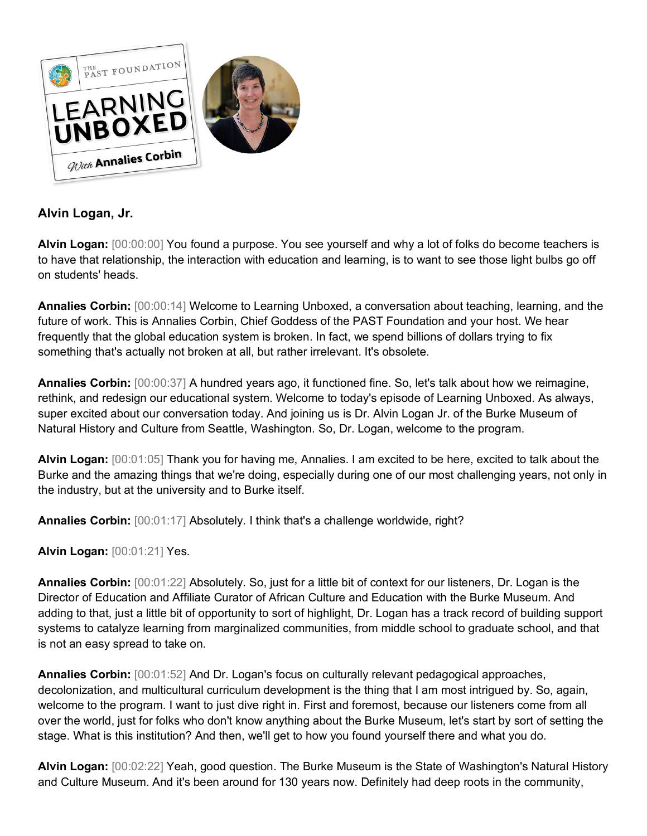

## **Alvin Logan, Jr.**

**Alvin Logan:** [00:00:00] You found a purpose. You see yourself and why a lot of folks do become teachers is to have that relationship, the interaction with education and learning, is to want to see those light bulbs go off on students' heads.

**Annalies Corbin:** [00:00:14] Welcome to Learning Unboxed, a conversation about teaching, learning, and the future of work. This is Annalies Corbin, Chief Goddess of the PAST Foundation and your host. We hear frequently that the global education system is broken. In fact, we spend billions of dollars trying to fix something that's actually not broken at all, but rather irrelevant. It's obsolete.

**Annalies Corbin:** [00:00:37] A hundred years ago, it functioned fine. So, let's talk about how we reimagine, rethink, and redesign our educational system. Welcome to today's episode of Learning Unboxed. As always, super excited about our conversation today. And joining us is Dr. Alvin Logan Jr. of the Burke Museum of Natural History and Culture from Seattle, Washington. So, Dr. Logan, welcome to the program.

**Alvin Logan:** [00:01:05] Thank you for having me, Annalies. I am excited to be here, excited to talk about the Burke and the amazing things that we're doing, especially during one of our most challenging years, not only in the industry, but at the university and to Burke itself.

**Annalies Corbin:** [00:01:17] Absolutely. I think that's a challenge worldwide, right?

**Alvin Logan:** [00:01:21] Yes.

**Annalies Corbin:** [00:01:22] Absolutely. So, just for a little bit of context for our listeners, Dr. Logan is the Director of Education and Affiliate Curator of African Culture and Education with the Burke Museum. And adding to that, just a little bit of opportunity to sort of highlight, Dr. Logan has a track record of building support systems to catalyze learning from marginalized communities, from middle school to graduate school, and that is not an easy spread to take on.

**Annalies Corbin:** [00:01:52] And Dr. Logan's focus on culturally relevant pedagogical approaches, decolonization, and multicultural curriculum development is the thing that I am most intrigued by. So, again, welcome to the program. I want to just dive right in. First and foremost, because our listeners come from all over the world, just for folks who don't know anything about the Burke Museum, let's start by sort of setting the stage. What is this institution? And then, we'll get to how you found yourself there and what you do.

**Alvin Logan:** [00:02:22] Yeah, good question. The Burke Museum is the State of Washington's Natural History and Culture Museum. And it's been around for 130 years now. Definitely had deep roots in the community,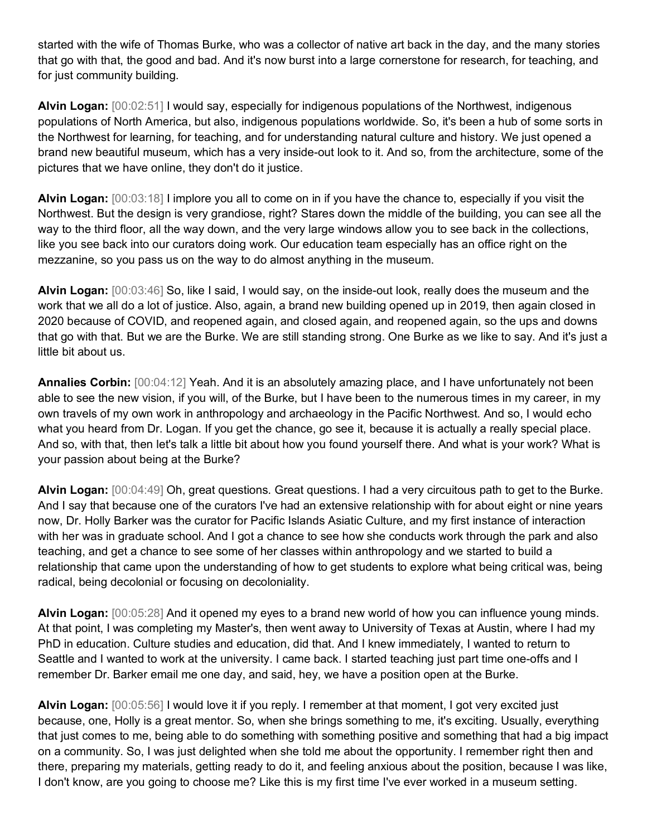started with the wife of Thomas Burke, who was a collector of native art back in the day, and the many stories that go with that, the good and bad. And it's now burst into a large cornerstone for research, for teaching, and for just community building.

**Alvin Logan:** [00:02:51] I would say, especially for indigenous populations of the Northwest, indigenous populations of North America, but also, indigenous populations worldwide. So, it's been a hub of some sorts in the Northwest for learning, for teaching, and for understanding natural culture and history. We just opened a brand new beautiful museum, which has a very inside-out look to it. And so, from the architecture, some of the pictures that we have online, they don't do it justice.

**Alvin Logan:** [00:03:18] I implore you all to come on in if you have the chance to, especially if you visit the Northwest. But the design is very grandiose, right? Stares down the middle of the building, you can see all the way to the third floor, all the way down, and the very large windows allow you to see back in the collections, like you see back into our curators doing work. Our education team especially has an office right on the mezzanine, so you pass us on the way to do almost anything in the museum.

**Alvin Logan:** [00:03:46] So, like I said, I would say, on the inside-out look, really does the museum and the work that we all do a lot of justice. Also, again, a brand new building opened up in 2019, then again closed in 2020 because of COVID, and reopened again, and closed again, and reopened again, so the ups and downs that go with that. But we are the Burke. We are still standing strong. One Burke as we like to say. And it's just a little bit about us.

**Annalies Corbin:** [00:04:12] Yeah. And it is an absolutely amazing place, and I have unfortunately not been able to see the new vision, if you will, of the Burke, but I have been to the numerous times in my career, in my own travels of my own work in anthropology and archaeology in the Pacific Northwest. And so, I would echo what you heard from Dr. Logan. If you get the chance, go see it, because it is actually a really special place. And so, with that, then let's talk a little bit about how you found yourself there. And what is your work? What is your passion about being at the Burke?

**Alvin Logan:** [00:04:49] Oh, great questions. Great questions. I had a very circuitous path to get to the Burke. And I say that because one of the curators I've had an extensive relationship with for about eight or nine years now, Dr. Holly Barker was the curator for Pacific Islands Asiatic Culture, and my first instance of interaction with her was in graduate school. And I got a chance to see how she conducts work through the park and also teaching, and get a chance to see some of her classes within anthropology and we started to build a relationship that came upon the understanding of how to get students to explore what being critical was, being radical, being decolonial or focusing on decoloniality.

**Alvin Logan:** [00:05:28] And it opened my eyes to a brand new world of how you can influence young minds. At that point, I was completing my Master's, then went away to University of Texas at Austin, where I had my PhD in education. Culture studies and education, did that. And I knew immediately, I wanted to return to Seattle and I wanted to work at the university. I came back. I started teaching just part time one-offs and I remember Dr. Barker email me one day, and said, hey, we have a position open at the Burke.

**Alvin Logan:** [00:05:56] I would love it if you reply. I remember at that moment, I got very excited just because, one, Holly is a great mentor. So, when she brings something to me, it's exciting. Usually, everything that just comes to me, being able to do something with something positive and something that had a big impact on a community. So, I was just delighted when she told me about the opportunity. I remember right then and there, preparing my materials, getting ready to do it, and feeling anxious about the position, because I was like, I don't know, are you going to choose me? Like this is my first time I've ever worked in a museum setting.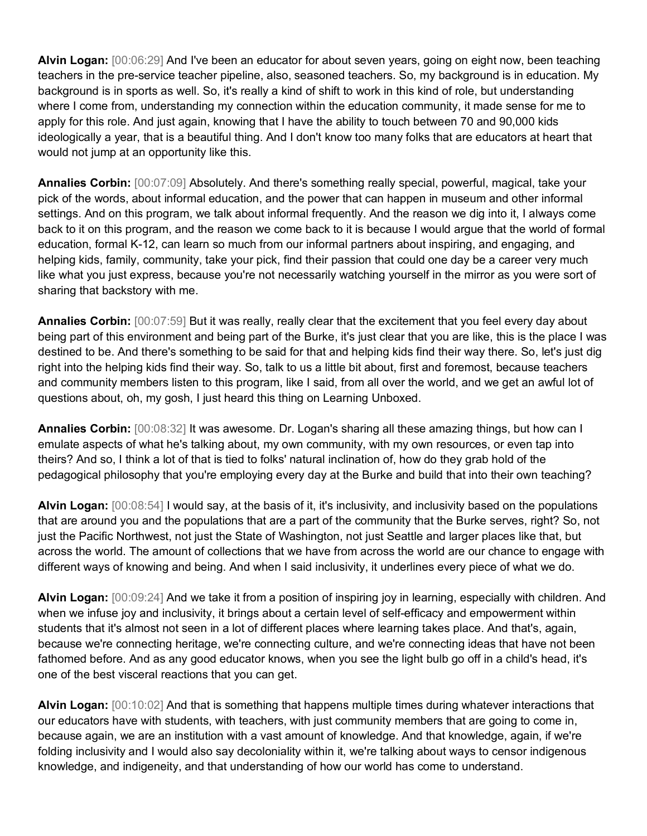**Alvin Logan:** [00:06:29] And I've been an educator for about seven years, going on eight now, been teaching teachers in the pre-service teacher pipeline, also, seasoned teachers. So, my background is in education. My background is in sports as well. So, it's really a kind of shift to work in this kind of role, but understanding where I come from, understanding my connection within the education community, it made sense for me to apply for this role. And just again, knowing that I have the ability to touch between 70 and 90,000 kids ideologically a year, that is a beautiful thing. And I don't know too many folks that are educators at heart that would not jump at an opportunity like this.

**Annalies Corbin:** [00:07:09] Absolutely. And there's something really special, powerful, magical, take your pick of the words, about informal education, and the power that can happen in museum and other informal settings. And on this program, we talk about informal frequently. And the reason we dig into it, I always come back to it on this program, and the reason we come back to it is because I would argue that the world of formal education, formal K-12, can learn so much from our informal partners about inspiring, and engaging, and helping kids, family, community, take your pick, find their passion that could one day be a career very much like what you just express, because you're not necessarily watching yourself in the mirror as you were sort of sharing that backstory with me.

**Annalies Corbin:** [00:07:59] But it was really, really clear that the excitement that you feel every day about being part of this environment and being part of the Burke, it's just clear that you are like, this is the place I was destined to be. And there's something to be said for that and helping kids find their way there. So, let's just dig right into the helping kids find their way. So, talk to us a little bit about, first and foremost, because teachers and community members listen to this program, like I said, from all over the world, and we get an awful lot of questions about, oh, my gosh, I just heard this thing on Learning Unboxed.

**Annalies Corbin:** [00:08:32] It was awesome. Dr. Logan's sharing all these amazing things, but how can I emulate aspects of what he's talking about, my own community, with my own resources, or even tap into theirs? And so, I think a lot of that is tied to folks' natural inclination of, how do they grab hold of the pedagogical philosophy that you're employing every day at the Burke and build that into their own teaching?

**Alvin Logan:** [00:08:54] I would say, at the basis of it, it's inclusivity, and inclusivity based on the populations that are around you and the populations that are a part of the community that the Burke serves, right? So, not just the Pacific Northwest, not just the State of Washington, not just Seattle and larger places like that, but across the world. The amount of collections that we have from across the world are our chance to engage with different ways of knowing and being. And when I said inclusivity, it underlines every piece of what we do.

**Alvin Logan:** [00:09:24] And we take it from a position of inspiring joy in learning, especially with children. And when we infuse joy and inclusivity, it brings about a certain level of self-efficacy and empowerment within students that it's almost not seen in a lot of different places where learning takes place. And that's, again, because we're connecting heritage, we're connecting culture, and we're connecting ideas that have not been fathomed before. And as any good educator knows, when you see the light bulb go off in a child's head, it's one of the best visceral reactions that you can get.

**Alvin Logan:** [00:10:02] And that is something that happens multiple times during whatever interactions that our educators have with students, with teachers, with just community members that are going to come in, because again, we are an institution with a vast amount of knowledge. And that knowledge, again, if we're folding inclusivity and I would also say decoloniality within it, we're talking about ways to censor indigenous knowledge, and indigeneity, and that understanding of how our world has come to understand.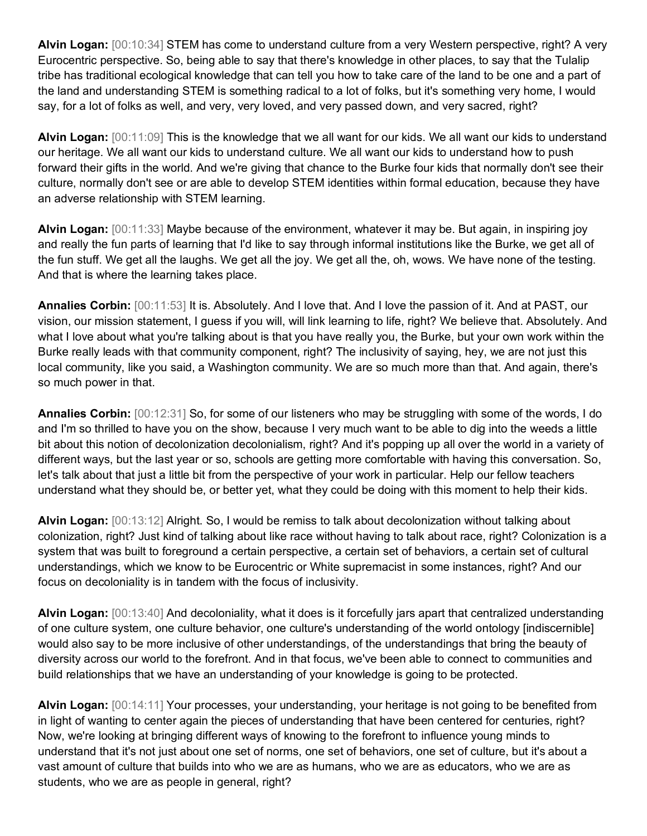**Alvin Logan:** [00:10:34] STEM has come to understand culture from a very Western perspective, right? A very Eurocentric perspective. So, being able to say that there's knowledge in other places, to say that the Tulalip tribe has traditional ecological knowledge that can tell you how to take care of the land to be one and a part of the land and understanding STEM is something radical to a lot of folks, but it's something very home, I would say, for a lot of folks as well, and very, very loved, and very passed down, and very sacred, right?

**Alvin Logan:** [00:11:09] This is the knowledge that we all want for our kids. We all want our kids to understand our heritage. We all want our kids to understand culture. We all want our kids to understand how to push forward their gifts in the world. And we're giving that chance to the Burke four kids that normally don't see their culture, normally don't see or are able to develop STEM identities within formal education, because they have an adverse relationship with STEM learning.

**Alvin Logan:** [00:11:33] Maybe because of the environment, whatever it may be. But again, in inspiring joy and really the fun parts of learning that I'd like to say through informal institutions like the Burke, we get all of the fun stuff. We get all the laughs. We get all the joy. We get all the, oh, wows. We have none of the testing. And that is where the learning takes place.

**Annalies Corbin:** [00:11:53] It is. Absolutely. And I love that. And I love the passion of it. And at PAST, our vision, our mission statement, I guess if you will, will link learning to life, right? We believe that. Absolutely. And what I love about what you're talking about is that you have really you, the Burke, but your own work within the Burke really leads with that community component, right? The inclusivity of saying, hey, we are not just this local community, like you said, a Washington community. We are so much more than that. And again, there's so much power in that.

**Annalies Corbin:** [00:12:31] So, for some of our listeners who may be struggling with some of the words, I do and I'm so thrilled to have you on the show, because I very much want to be able to dig into the weeds a little bit about this notion of decolonization decolonialism, right? And it's popping up all over the world in a variety of different ways, but the last year or so, schools are getting more comfortable with having this conversation. So, let's talk about that just a little bit from the perspective of your work in particular. Help our fellow teachers understand what they should be, or better yet, what they could be doing with this moment to help their kids.

**Alvin Logan:** [00:13:12] Alright. So, I would be remiss to talk about decolonization without talking about colonization, right? Just kind of talking about like race without having to talk about race, right? Colonization is a system that was built to foreground a certain perspective, a certain set of behaviors, a certain set of cultural understandings, which we know to be Eurocentric or White supremacist in some instances, right? And our focus on decoloniality is in tandem with the focus of inclusivity.

**Alvin Logan:** [00:13:40] And decoloniality, what it does is it forcefully jars apart that centralized understanding of one culture system, one culture behavior, one culture's understanding of the world ontology [indiscernible] would also say to be more inclusive of other understandings, of the understandings that bring the beauty of diversity across our world to the forefront. And in that focus, we've been able to connect to communities and build relationships that we have an understanding of your knowledge is going to be protected.

**Alvin Logan:** [00:14:11] Your processes, your understanding, your heritage is not going to be benefited from in light of wanting to center again the pieces of understanding that have been centered for centuries, right? Now, we're looking at bringing different ways of knowing to the forefront to influence young minds to understand that it's not just about one set of norms, one set of behaviors, one set of culture, but it's about a vast amount of culture that builds into who we are as humans, who we are as educators, who we are as students, who we are as people in general, right?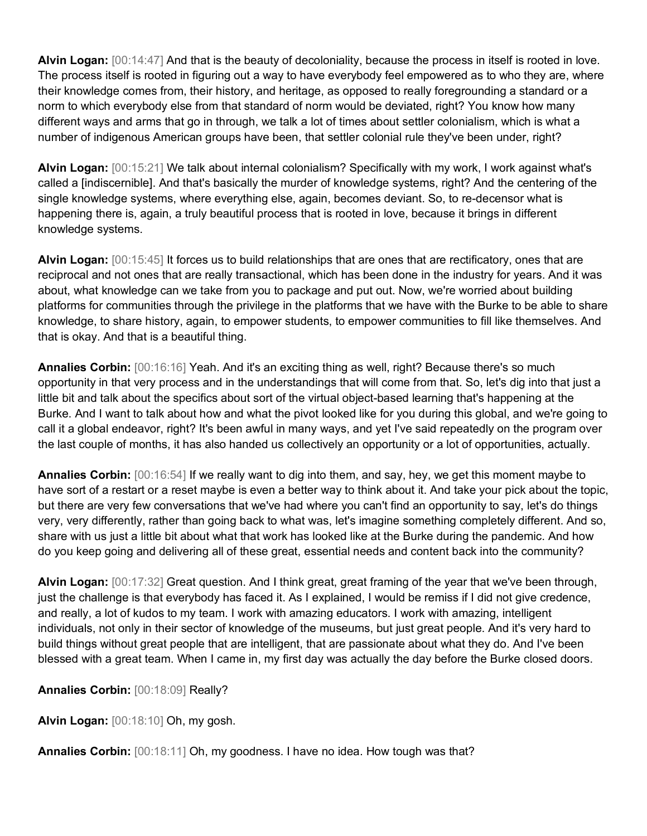**Alvin Logan:** [00:14:47] And that is the beauty of decoloniality, because the process in itself is rooted in love. The process itself is rooted in figuring out a way to have everybody feel empowered as to who they are, where their knowledge comes from, their history, and heritage, as opposed to really foregrounding a standard or a norm to which everybody else from that standard of norm would be deviated, right? You know how many different ways and arms that go in through, we talk a lot of times about settler colonialism, which is what a number of indigenous American groups have been, that settler colonial rule they've been under, right?

**Alvin Logan:** [00:15:21] We talk about internal colonialism? Specifically with my work, I work against what's called a [indiscernible]. And that's basically the murder of knowledge systems, right? And the centering of the single knowledge systems, where everything else, again, becomes deviant. So, to re-decensor what is happening there is, again, a truly beautiful process that is rooted in love, because it brings in different knowledge systems.

**Alvin Logan:** [00:15:45] It forces us to build relationships that are ones that are rectificatory, ones that are reciprocal and not ones that are really transactional, which has been done in the industry for years. And it was about, what knowledge can we take from you to package and put out. Now, we're worried about building platforms for communities through the privilege in the platforms that we have with the Burke to be able to share knowledge, to share history, again, to empower students, to empower communities to fill like themselves. And that is okay. And that is a beautiful thing.

**Annalies Corbin:** [00:16:16] Yeah. And it's an exciting thing as well, right? Because there's so much opportunity in that very process and in the understandings that will come from that. So, let's dig into that just a little bit and talk about the specifics about sort of the virtual object-based learning that's happening at the Burke. And I want to talk about how and what the pivot looked like for you during this global, and we're going to call it a global endeavor, right? It's been awful in many ways, and yet I've said repeatedly on the program over the last couple of months, it has also handed us collectively an opportunity or a lot of opportunities, actually.

**Annalies Corbin:** [00:16:54] If we really want to dig into them, and say, hey, we get this moment maybe to have sort of a restart or a reset maybe is even a better way to think about it. And take your pick about the topic, but there are very few conversations that we've had where you can't find an opportunity to say, let's do things very, very differently, rather than going back to what was, let's imagine something completely different. And so, share with us just a little bit about what that work has looked like at the Burke during the pandemic. And how do you keep going and delivering all of these great, essential needs and content back into the community?

**Alvin Logan:** [00:17:32] Great question. And I think great, great framing of the year that we've been through, just the challenge is that everybody has faced it. As I explained, I would be remiss if I did not give credence, and really, a lot of kudos to my team. I work with amazing educators. I work with amazing, intelligent individuals, not only in their sector of knowledge of the museums, but just great people. And it's very hard to build things without great people that are intelligent, that are passionate about what they do. And I've been blessed with a great team. When I came in, my first day was actually the day before the Burke closed doors.

**Annalies Corbin:** [00:18:09] Really?

**Alvin Logan:** [00:18:10] Oh, my gosh.

**Annalies Corbin:** [00:18:11] Oh, my goodness. I have no idea. How tough was that?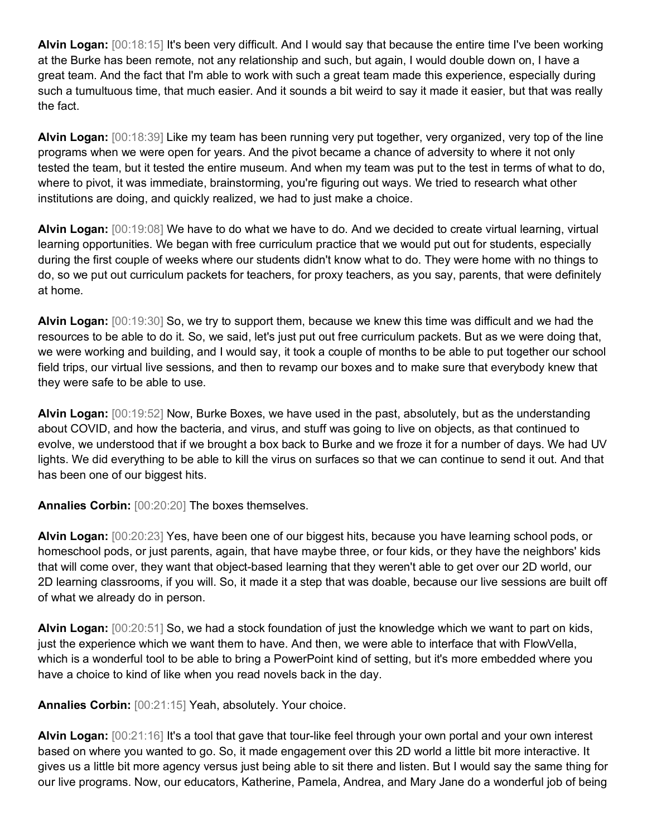**Alvin Logan:** [00:18:15] It's been very difficult. And I would say that because the entire time I've been working at the Burke has been remote, not any relationship and such, but again, I would double down on, I have a great team. And the fact that I'm able to work with such a great team made this experience, especially during such a tumultuous time, that much easier. And it sounds a bit weird to say it made it easier, but that was really the fact.

**Alvin Logan:** [00:18:39] Like my team has been running very put together, very organized, very top of the line programs when we were open for years. And the pivot became a chance of adversity to where it not only tested the team, but it tested the entire museum. And when my team was put to the test in terms of what to do, where to pivot, it was immediate, brainstorming, you're figuring out ways. We tried to research what other institutions are doing, and quickly realized, we had to just make a choice.

**Alvin Logan:** [00:19:08] We have to do what we have to do. And we decided to create virtual learning, virtual learning opportunities. We began with free curriculum practice that we would put out for students, especially during the first couple of weeks where our students didn't know what to do. They were home with no things to do, so we put out curriculum packets for teachers, for proxy teachers, as you say, parents, that were definitely at home.

**Alvin Logan:** [00:19:30] So, we try to support them, because we knew this time was difficult and we had the resources to be able to do it. So, we said, let's just put out free curriculum packets. But as we were doing that, we were working and building, and I would say, it took a couple of months to be able to put together our school field trips, our virtual live sessions, and then to revamp our boxes and to make sure that everybody knew that they were safe to be able to use.

**Alvin Logan:** [00:19:52] Now, Burke Boxes, we have used in the past, absolutely, but as the understanding about COVID, and how the bacteria, and virus, and stuff was going to live on objects, as that continued to evolve, we understood that if we brought a box back to Burke and we froze it for a number of days. We had UV lights. We did everything to be able to kill the virus on surfaces so that we can continue to send it out. And that has been one of our biggest hits.

**Annalies Corbin:** [00:20:20] The boxes themselves.

**Alvin Logan:** [00:20:23] Yes, have been one of our biggest hits, because you have learning school pods, or homeschool pods, or just parents, again, that have maybe three, or four kids, or they have the neighbors' kids that will come over, they want that object-based learning that they weren't able to get over our 2D world, our 2D learning classrooms, if you will. So, it made it a step that was doable, because our live sessions are built off of what we already do in person.

**Alvin Logan:** [00:20:51] So, we had a stock foundation of just the knowledge which we want to part on kids, just the experience which we want them to have. And then, we were able to interface that with FlowVella, which is a wonderful tool to be able to bring a PowerPoint kind of setting, but it's more embedded where you have a choice to kind of like when you read novels back in the day.

**Annalies Corbin:** [00:21:15] Yeah, absolutely. Your choice.

**Alvin Logan:** [00:21:16] It's a tool that gave that tour-like feel through your own portal and your own interest based on where you wanted to go. So, it made engagement over this 2D world a little bit more interactive. It gives us a little bit more agency versus just being able to sit there and listen. But I would say the same thing for our live programs. Now, our educators, Katherine, Pamela, Andrea, and Mary Jane do a wonderful job of being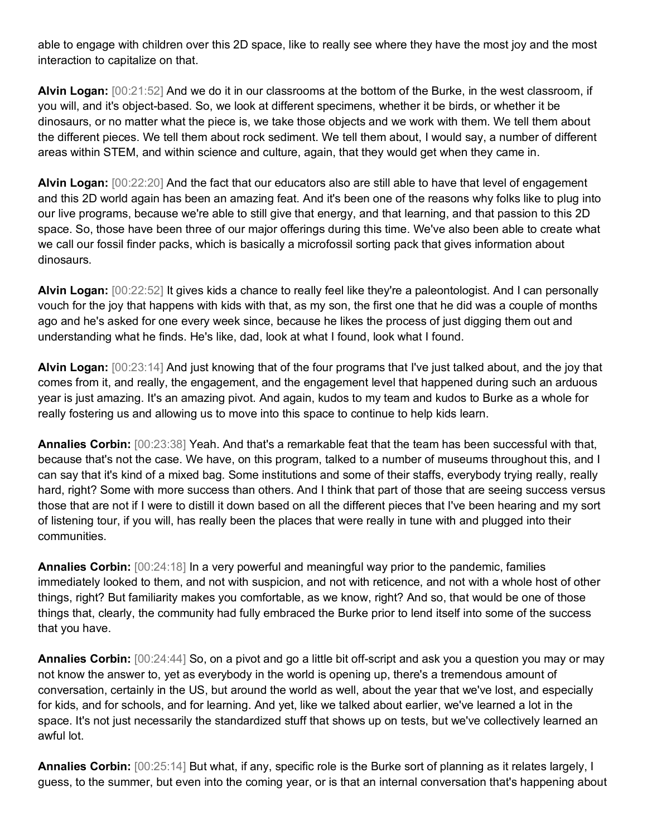able to engage with children over this 2D space, like to really see where they have the most joy and the most interaction to capitalize on that.

**Alvin Logan:** [00:21:52] And we do it in our classrooms at the bottom of the Burke, in the west classroom, if you will, and it's object-based. So, we look at different specimens, whether it be birds, or whether it be dinosaurs, or no matter what the piece is, we take those objects and we work with them. We tell them about the different pieces. We tell them about rock sediment. We tell them about, I would say, a number of different areas within STEM, and within science and culture, again, that they would get when they came in.

**Alvin Logan:** [00:22:20] And the fact that our educators also are still able to have that level of engagement and this 2D world again has been an amazing feat. And it's been one of the reasons why folks like to plug into our live programs, because we're able to still give that energy, and that learning, and that passion to this 2D space. So, those have been three of our major offerings during this time. We've also been able to create what we call our fossil finder packs, which is basically a microfossil sorting pack that gives information about dinosaurs.

**Alvin Logan:** [00:22:52] It gives kids a chance to really feel like they're a paleontologist. And I can personally vouch for the joy that happens with kids with that, as my son, the first one that he did was a couple of months ago and he's asked for one every week since, because he likes the process of just digging them out and understanding what he finds. He's like, dad, look at what I found, look what I found.

**Alvin Logan:** [00:23:14] And just knowing that of the four programs that I've just talked about, and the joy that comes from it, and really, the engagement, and the engagement level that happened during such an arduous year is just amazing. It's an amazing pivot. And again, kudos to my team and kudos to Burke as a whole for really fostering us and allowing us to move into this space to continue to help kids learn.

**Annalies Corbin:** [00:23:38] Yeah. And that's a remarkable feat that the team has been successful with that, because that's not the case. We have, on this program, talked to a number of museums throughout this, and I can say that it's kind of a mixed bag. Some institutions and some of their staffs, everybody trying really, really hard, right? Some with more success than others. And I think that part of those that are seeing success versus those that are not if I were to distill it down based on all the different pieces that I've been hearing and my sort of listening tour, if you will, has really been the places that were really in tune with and plugged into their communities.

**Annalies Corbin:** [00:24:18] In a very powerful and meaningful way prior to the pandemic, families immediately looked to them, and not with suspicion, and not with reticence, and not with a whole host of other things, right? But familiarity makes you comfortable, as we know, right? And so, that would be one of those things that, clearly, the community had fully embraced the Burke prior to lend itself into some of the success that you have.

**Annalies Corbin:** [00:24:44] So, on a pivot and go a little bit off-script and ask you a question you may or may not know the answer to, yet as everybody in the world is opening up, there's a tremendous amount of conversation, certainly in the US, but around the world as well, about the year that we've lost, and especially for kids, and for schools, and for learning. And yet, like we talked about earlier, we've learned a lot in the space. It's not just necessarily the standardized stuff that shows up on tests, but we've collectively learned an awful lot.

**Annalies Corbin:** [00:25:14] But what, if any, specific role is the Burke sort of planning as it relates largely, I guess, to the summer, but even into the coming year, or is that an internal conversation that's happening about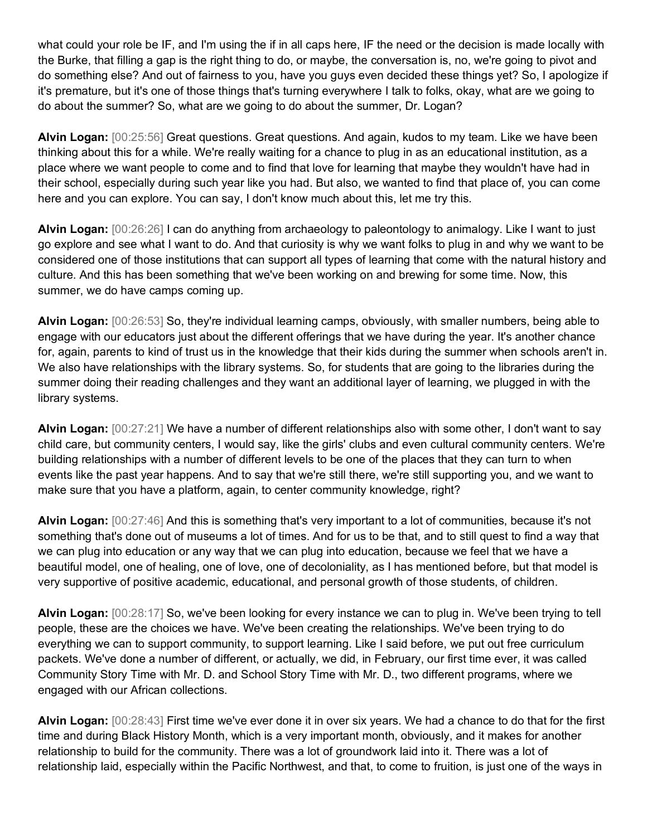what could your role be IF, and I'm using the if in all caps here, IF the need or the decision is made locally with the Burke, that filling a gap is the right thing to do, or maybe, the conversation is, no, we're going to pivot and do something else? And out of fairness to you, have you guys even decided these things yet? So, I apologize if it's premature, but it's one of those things that's turning everywhere I talk to folks, okay, what are we going to do about the summer? So, what are we going to do about the summer, Dr. Logan?

**Alvin Logan:** [00:25:56] Great questions. Great questions. And again, kudos to my team. Like we have been thinking about this for a while. We're really waiting for a chance to plug in as an educational institution, as a place where we want people to come and to find that love for learning that maybe they wouldn't have had in their school, especially during such year like you had. But also, we wanted to find that place of, you can come here and you can explore. You can say, I don't know much about this, let me try this.

**Alvin Logan:** [00:26:26] I can do anything from archaeology to paleontology to animalogy. Like I want to just go explore and see what I want to do. And that curiosity is why we want folks to plug in and why we want to be considered one of those institutions that can support all types of learning that come with the natural history and culture. And this has been something that we've been working on and brewing for some time. Now, this summer, we do have camps coming up.

**Alvin Logan:** [00:26:53] So, they're individual learning camps, obviously, with smaller numbers, being able to engage with our educators just about the different offerings that we have during the year. It's another chance for, again, parents to kind of trust us in the knowledge that their kids during the summer when schools aren't in. We also have relationships with the library systems. So, for students that are going to the libraries during the summer doing their reading challenges and they want an additional layer of learning, we plugged in with the library systems.

**Alvin Logan:** [00:27:21] We have a number of different relationships also with some other, I don't want to say child care, but community centers, I would say, like the girls' clubs and even cultural community centers. We're building relationships with a number of different levels to be one of the places that they can turn to when events like the past year happens. And to say that we're still there, we're still supporting you, and we want to make sure that you have a platform, again, to center community knowledge, right?

**Alvin Logan:** [00:27:46] And this is something that's very important to a lot of communities, because it's not something that's done out of museums a lot of times. And for us to be that, and to still quest to find a way that we can plug into education or any way that we can plug into education, because we feel that we have a beautiful model, one of healing, one of love, one of decoloniality, as I has mentioned before, but that model is very supportive of positive academic, educational, and personal growth of those students, of children.

**Alvin Logan:** [00:28:17] So, we've been looking for every instance we can to plug in. We've been trying to tell people, these are the choices we have. We've been creating the relationships. We've been trying to do everything we can to support community, to support learning. Like I said before, we put out free curriculum packets. We've done a number of different, or actually, we did, in February, our first time ever, it was called Community Story Time with Mr. D. and School Story Time with Mr. D., two different programs, where we engaged with our African collections.

**Alvin Logan:** [00:28:43] First time we've ever done it in over six years. We had a chance to do that for the first time and during Black History Month, which is a very important month, obviously, and it makes for another relationship to build for the community. There was a lot of groundwork laid into it. There was a lot of relationship laid, especially within the Pacific Northwest, and that, to come to fruition, is just one of the ways in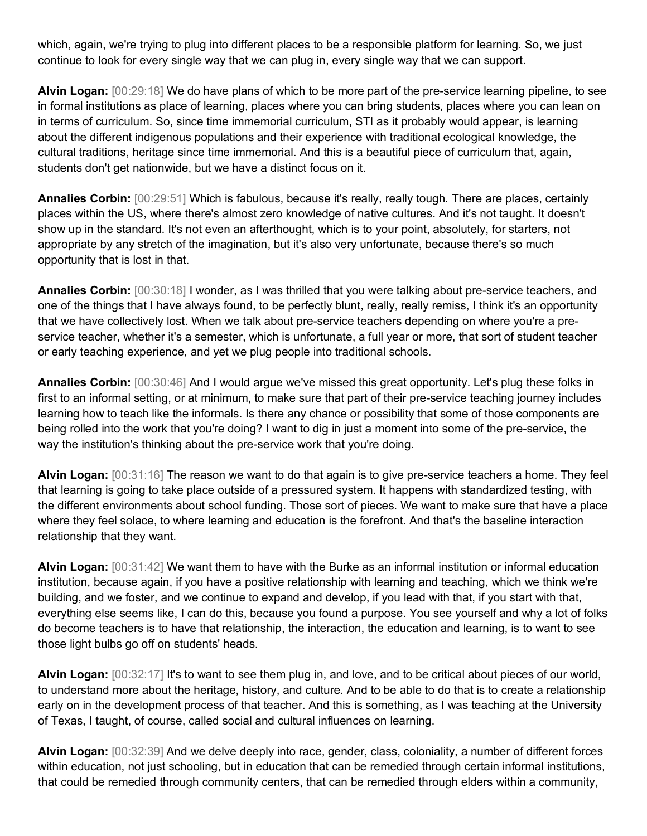which, again, we're trying to plug into different places to be a responsible platform for learning. So, we just continue to look for every single way that we can plug in, every single way that we can support.

**Alvin Logan:** [00:29:18] We do have plans of which to be more part of the pre-service learning pipeline, to see in formal institutions as place of learning, places where you can bring students, places where you can lean on in terms of curriculum. So, since time immemorial curriculum, STI as it probably would appear, is learning about the different indigenous populations and their experience with traditional ecological knowledge, the cultural traditions, heritage since time immemorial. And this is a beautiful piece of curriculum that, again, students don't get nationwide, but we have a distinct focus on it.

**Annalies Corbin:** [00:29:51] Which is fabulous, because it's really, really tough. There are places, certainly places within the US, where there's almost zero knowledge of native cultures. And it's not taught. It doesn't show up in the standard. It's not even an afterthought, which is to your point, absolutely, for starters, not appropriate by any stretch of the imagination, but it's also very unfortunate, because there's so much opportunity that is lost in that.

**Annalies Corbin:** [00:30:18] I wonder, as I was thrilled that you were talking about pre-service teachers, and one of the things that I have always found, to be perfectly blunt, really, really remiss, I think it's an opportunity that we have collectively lost. When we talk about pre-service teachers depending on where you're a preservice teacher, whether it's a semester, which is unfortunate, a full year or more, that sort of student teacher or early teaching experience, and yet we plug people into traditional schools.

**Annalies Corbin:** [00:30:46] And I would argue we've missed this great opportunity. Let's plug these folks in first to an informal setting, or at minimum, to make sure that part of their pre-service teaching journey includes learning how to teach like the informals. Is there any chance or possibility that some of those components are being rolled into the work that you're doing? I want to dig in just a moment into some of the pre-service, the way the institution's thinking about the pre-service work that you're doing.

**Alvin Logan:** [00:31:16] The reason we want to do that again is to give pre-service teachers a home. They feel that learning is going to take place outside of a pressured system. It happens with standardized testing, with the different environments about school funding. Those sort of pieces. We want to make sure that have a place where they feel solace, to where learning and education is the forefront. And that's the baseline interaction relationship that they want.

**Alvin Logan:** [00:31:42] We want them to have with the Burke as an informal institution or informal education institution, because again, if you have a positive relationship with learning and teaching, which we think we're building, and we foster, and we continue to expand and develop, if you lead with that, if you start with that, everything else seems like, I can do this, because you found a purpose. You see yourself and why a lot of folks do become teachers is to have that relationship, the interaction, the education and learning, is to want to see those light bulbs go off on students' heads.

**Alvin Logan:** [00:32:17] It's to want to see them plug in, and love, and to be critical about pieces of our world, to understand more about the heritage, history, and culture. And to be able to do that is to create a relationship early on in the development process of that teacher. And this is something, as I was teaching at the University of Texas, I taught, of course, called social and cultural influences on learning.

**Alvin Logan:** [00:32:39] And we delve deeply into race, gender, class, coloniality, a number of different forces within education, not just schooling, but in education that can be remedied through certain informal institutions, that could be remedied through community centers, that can be remedied through elders within a community,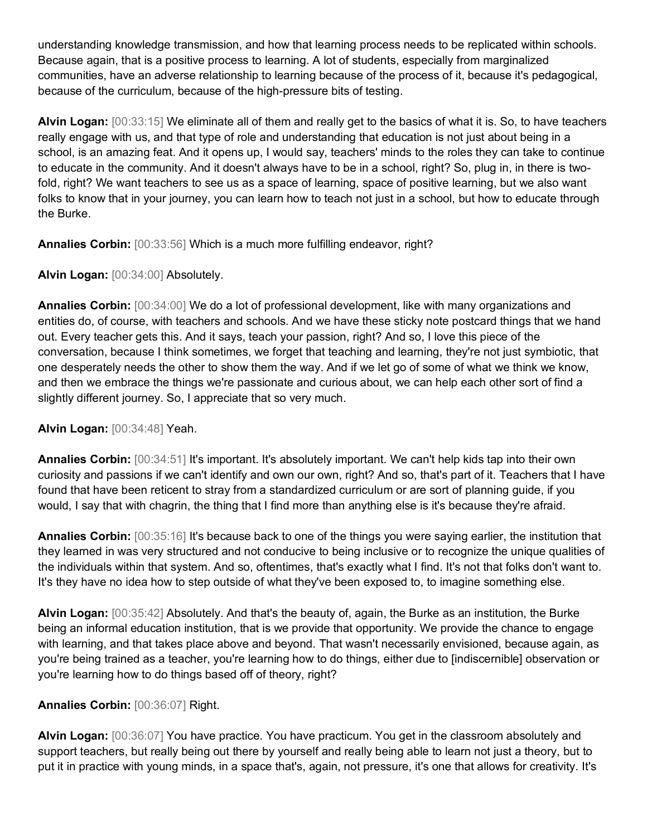understanding knowledge transmission, and how that learning process needs to be replicated within schools. Because again, that is a positive process to learning. A lot of students, especially from marginalized communities, have an adverse relationship to learning because of the process of it, because it's pedagogical, because of the curriculum, because of the high-pressure bits of testing.

**Alvin Logan:** [00:33:15] We eliminate all of them and really get to the basics of what it is. So, to have teachers really engage with us, and that type of role and understanding that education is not just about being in a school, is an amazing feat. And it opens up, I would say, teachers' minds to the roles they can take to continue to educate in the community. And it doesn't always have to be in a school, right? So, plug in, in there is twofold, right? We want teachers to see us as a space of learning, space of positive learning, but we also want folks to know that in your journey, you can learn how to teach not just in a school, but how to educate through the Burke.

**Annalies Corbin:** [00:33:56] Which is a much more fulfilling endeavor, right?

**Alvin Logan:** [00:34:00] Absolutely.

**Annalies Corbin:** [00:34:00] We do a lot of professional development, like with many organizations and entities do, of course, with teachers and schools. And we have these sticky note postcard things that we hand out. Every teacher gets this. And it says, teach your passion, right? And so, I love this piece of the conversation, because I think sometimes, we forget that teaching and learning, they're not just symbiotic, that one desperately needs the other to show them the way. And if we let go of some of what we think we know, and then we embrace the things we're passionate and curious about, we can help each other sort of find a slightly different journey. So, I appreciate that so very much.

**Alvin Logan:** [00:34:48] Yeah.

**Annalies Corbin:** [00:34:51] It's important. It's absolutely important. We can't help kids tap into their own curiosity and passions if we can't identify and own our own, right? And so, that's part of it. Teachers that I have found that have been reticent to stray from a standardized curriculum or are sort of planning guide, if you would, I say that with chagrin, the thing that I find more than anything else is it's because they're afraid.

**Annalies Corbin:** [00:35:16] It's because back to one of the things you were saying earlier, the institution that they learned in was very structured and not conducive to being inclusive or to recognize the unique qualities of the individuals within that system. And so, oftentimes, that's exactly what I find. It's not that folks don't want to. It's they have no idea how to step outside of what they've been exposed to, to imagine something else.

**Alvin Logan:** [00:35:42] Absolutely. And that's the beauty of, again, the Burke as an institution, the Burke being an informal education institution, that is we provide that opportunity. We provide the chance to engage with learning, and that takes place above and beyond. That wasn't necessarily envisioned, because again, as you're being trained as a teacher, you're learning how to do things, either due to [indiscernible] observation or you're learning how to do things based off of theory, right?

## **Annalies Corbin:** [00:36:07] Right.

**Alvin Logan:** [00:36:07] You have practice. You have practicum. You get in the classroom absolutely and support teachers, but really being out there by yourself and really being able to learn not just a theory, but to put it in practice with young minds, in a space that's, again, not pressure, it's one that allows for creativity. It's